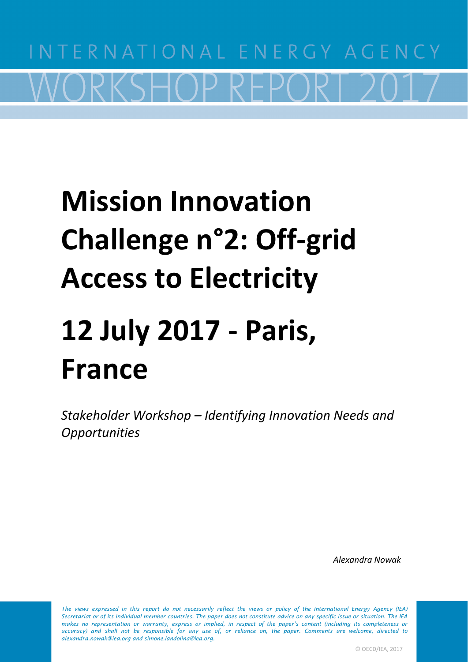# NTERNATIONAL ENERGY AGENCY

# **Mission Innovation Challenge n°2: Off-grid Access to Electricity**

# **12 July 2017 - Paris, France**

*Stakeholder Workshop – Identifying Innovation Needs and Opportunities* 

*Alexandra Nowak* 

*The views expressed in this report do not necessarily reflect the views or policy of the International Energy Agency (IEA) Secretariat or of its individual member countries. The paper does not constitute advice on any specific issue or situation. The IEA makes no representation or warranty, express or implied, in respect of the paper's content (including its completeness or accuracy) and shall not be responsible for any use of, or reliance on, the paper. Comments are welcome, directed to alexandra.nowak@iea.org and simone.landolina@iea.org.*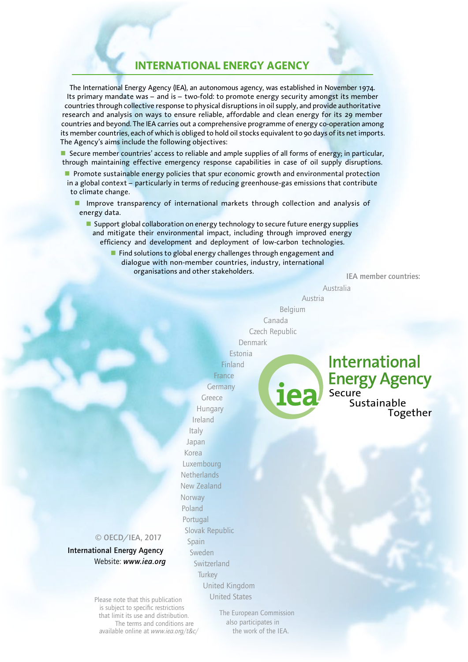#### **INTERNATIONAL ENERGY AGENCY**

The International Energy Agency (IEA), an autonomous agency, was established in November 1974. Its primary mandate was – and is – two-fold: to promote energy security amongst its member countries through collective response to physical disruptions in oil supply, and provide authoritative research and analysis on ways to ensure reliable, affordable and clean energy for its 29 member countries and beyond. The IEA carries out a comprehensive programme of energy co-operation among its member countries, each of which is obliged to hold oil stocks equivalent to 90 days of its net imports. The Agency's aims include the following objectives:

■ Secure member countries' access to reliable and ample supplies of all forms of energy; in particular, through maintaining effective emergency response capabilities in case of oil supply disruptions.

- $\blacksquare$  Promote sustainable energy policies that spur economic growth and environmental protection in a global context – particularly in terms of reducing greenhouse-gas emissions that contribute to climate change.
	- Improve transparency of international markets through collection and analysis of energy data.
		- Support global collaboration on energy technology to secure future energy supplies and mitigate their environmental impact, including through improved energy efficiency and development and deployment of low-carbon technologies.
			- $\blacksquare$  Find solutions to global energy challenges through engagement and dialogue with non-member countries, industry, international organisations and other stakeholders.

Czech Republic Denmark Estonia Finland France **Germany** Greece Hungary Ireland **Italy** Japan Korea Luxembourg **Netherlands** New Zealand Norway Poland Portugal Slovak Republic Spain Sweden Switzerland **Turkey** United Kingdom United States

**International Energy Agency**<br>Secure

Together Sustainable

#### © OECD/IEA, 2017

International Energy Agency Website: *www.iea.org*

> Please note that this publication is subject to specific restrictions that limit its use and distribution. The terms and conditions are available online at *www.iea.org/t&c/*

The European Commission also participates in the work of the IEA.

Australia

Austria

Belgium

Canada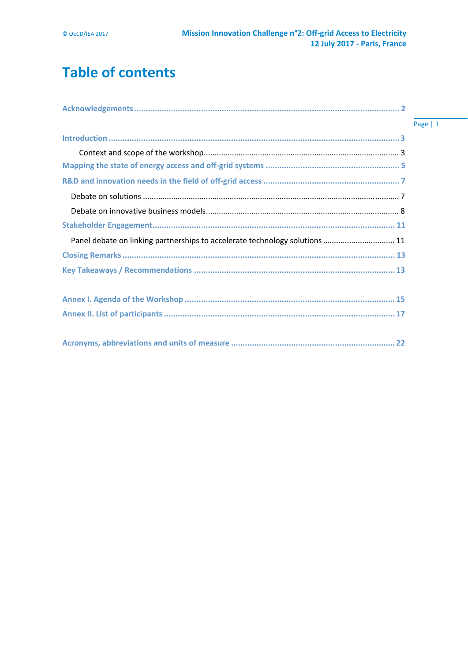# **Table of contents**

|                                                                            | Page $ 1$ |
|----------------------------------------------------------------------------|-----------|
|                                                                            |           |
|                                                                            |           |
|                                                                            |           |
|                                                                            |           |
|                                                                            |           |
|                                                                            |           |
|                                                                            |           |
| Panel debate on linking partnerships to accelerate technology solutions 11 |           |
|                                                                            |           |
|                                                                            |           |
|                                                                            |           |
|                                                                            |           |
|                                                                            |           |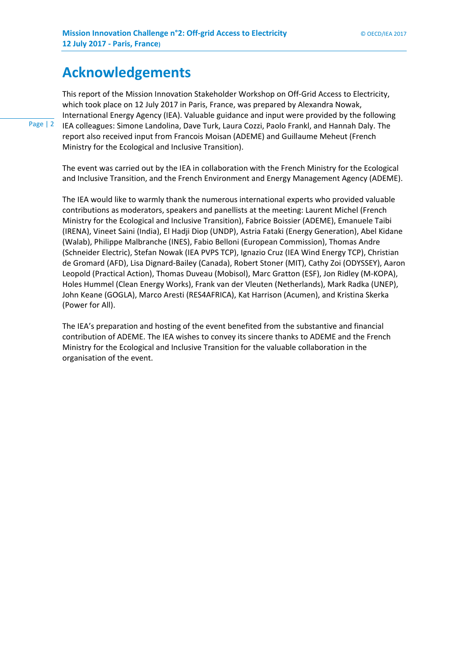# **Acknowledgements**

This report of the Mission Innovation Stakeholder Workshop on Off-Grid Access to Electricity, which took place on 12 July 2017 in Paris, France, was prepared by Alexandra Nowak, International Energy Agency (IEA). Valuable guidance and input were provided by the following IEA colleagues: Simone Landolina, Dave Turk, Laura Cozzi, Paolo Frankl, and Hannah Daly. The report also received input from Francois Moisan (ADEME) and Guillaume Meheut (French Ministry for the Ecological and Inclusive Transition).

The event was carried out by the IEA in collaboration with the French Ministry for the Ecological and Inclusive Transition, and the French Environment and Energy Management Agency (ADEME).

The IEA would like to warmly thank the numerous international experts who provided valuable contributions as moderators, speakers and panellists at the meeting: Laurent Michel (French Ministry for the Ecological and Inclusive Transition), Fabrice Boissier (ADEME), Emanuele Taibi (IRENA), Vineet Saini (India), El Hadji Diop (UNDP), Astria Fataki (Energy Generation), Abel Kidane (Walab), Philippe Malbranche (INES), Fabio Belloni (European Commission), Thomas Andre (Schneider Electric), Stefan Nowak (IEA PVPS TCP), Ignazio Cruz (IEA Wind Energy TCP), Christian de Gromard (AFD), Lisa Dignard-Bailey (Canada), Robert Stoner (MIT), Cathy Zoi (ODYSSEY), Aaron Leopold (Practical Action), Thomas Duveau (Mobisol), Marc Gratton (ESF), Jon Ridley (M-KOPA), Holes Hummel (Clean Energy Works), Frank van der Vleuten (Netherlands), Mark Radka (UNEP), John Keane (GOGLA), Marco Aresti (RES4AFRICA), Kat Harrison (Acumen), and Kristina Skerka (Power for All).

The IEA's preparation and hosting of the event benefited from the substantive and financial contribution of ADEME. The IEA wishes to convey its sincere thanks to ADEME and the French Ministry for the Ecological and Inclusive Transition for the valuable collaboration in the organisation of the event.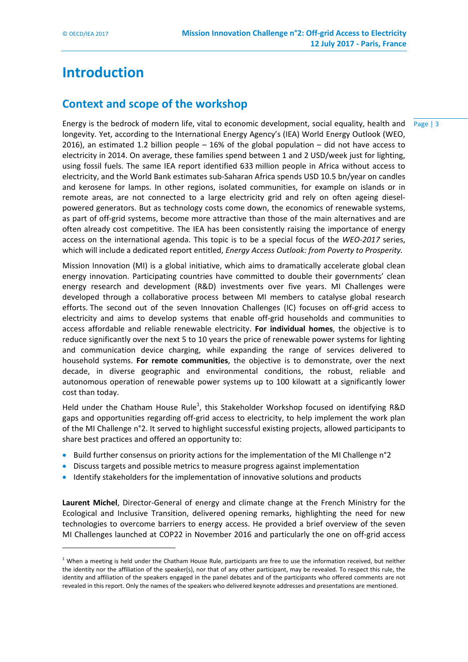$\overline{a}$ 

# **Introduction**

#### **Context and scope of the workshop**

Energy is the bedrock of modern life, vital to economic development, social equality, health and longevity. Yet, according to the International Energy Agency's (IEA) World Energy Outlook (WEO, 2016), an estimated 1.2 billion people  $-16%$  of the global population  $-$  did not have access to electricity in 2014. On average, these families spend between 1 and 2 USD/week just for lighting, using fossil fuels. The same IEA report identified 633 million people in Africa without access to electricity, and the World Bank estimates sub-Saharan Africa spends USD 10.5 bn/year on candles and kerosene for lamps. In other regions, isolated communities, for example on islands or in remote areas, are not connected to a large electricity grid and rely on often ageing dieselpowered generators. But as technology costs come down, the economics of renewable systems, as part of off-grid systems, become more attractive than those of the main alternatives and are often already cost competitive. The IEA has been consistently raising the importance of energy access on the international agenda. This topic is to be a special focus of the *WEO-2017* series, which will include a dedicated report entitled, *Energy Access Outlook: from Poverty to Prosperity.* 

Mission Innovation (MI) is a global initiative, which aims to dramatically accelerate global clean energy innovation. Participating countries have committed to double their governments' clean energy research and development (R&D) investments over five years. MI Challenges were developed through a collaborative process between MI members to catalyse global research efforts. The second out of the seven Innovation Challenges (IC) focuses on off-grid access to electricity and aims to develop systems that enable off-grid households and communities to access affordable and reliable renewable electricity. **For individual homes**, the objective is to reduce significantly over the next 5 to 10 years the price of renewable power systems for lighting and communication device charging, while expanding the range of services delivered to household systems. **For remote communities**, the objective is to demonstrate, over the next decade, in diverse geographic and environmental conditions, the robust, reliable and autonomous operation of renewable power systems up to 100 kilowatt at a significantly lower cost than today.

Held under the Chatham House Rule<sup>1</sup>, this Stakeholder Workshop focused on identifying R&D gaps and opportunities regarding off-grid access to electricity, to help implement the work plan of the MI Challenge n°2. It served to highlight successful existing projects, allowed participants to share best practices and offered an opportunity to:

- Build further consensus on priority actions for the implementation of the MI Challenge n°2
- Discuss targets and possible metrics to measure progress against implementation
- Identify stakeholders for the implementation of innovative solutions and products

**Laurent Michel**, Director-General of energy and climate change at the French Ministry for the Ecological and Inclusive Transition, delivered opening remarks, highlighting the need for new technologies to overcome barriers to energy access. He provided a brief overview of the seven MI Challenges launched at COP22 in November 2016 and particularly the one on off-grid access

 $1$  When a meeting is held under the Chatham House Rule, participants are free to use the information received, but neither the identity nor the affiliation of the speaker(s), nor that of any other participant, may be revealed. To respect this rule, the identity and affiliation of the speakers engaged in the panel debates and of the participants who offered comments are not revealed in this report. Only the names of the speakers who delivered keynote addresses and presentations are mentioned.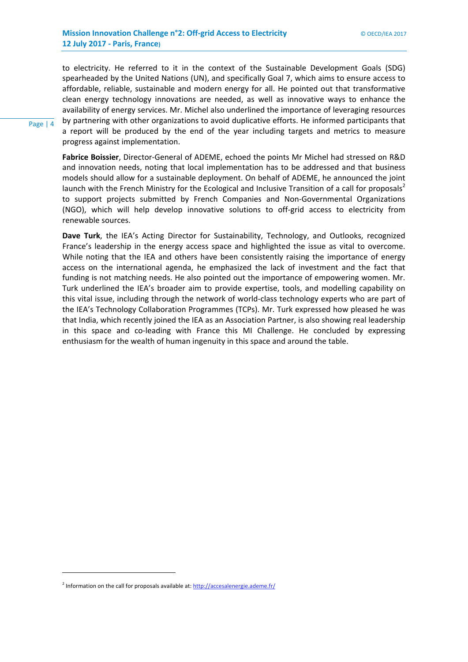to electricity. He referred to it in the context of the Sustainable Development Goals (SDG) spearheaded by the United Nations (UN), and specifically Goal 7, which aims to ensure access to affordable, reliable, sustainable and modern energy for all. He pointed out that transformative clean energy technology innovations are needed, as well as innovative ways to enhance the availability of energy services. Mr. Michel also underlined the importance of leveraging resources by partnering with other organizations to avoid duplicative efforts. He informed participants that a report will be produced by the end of the year including targets and metrics to measure progress against implementation.

**Fabrice Boissier**, Director-General of ADEME, echoed the points Mr Michel had stressed on R&D and innovation needs, noting that local implementation has to be addressed and that business models should allow for a sustainable deployment. On behalf of ADEME, he announced the joint launch with the French Ministry for the Ecological and Inclusive Transition of a call for proposals<sup>2</sup> to support projects submitted by French Companies and Non-Governmental Organizations (NGO), which will help develop innovative solutions to off-grid access to electricity from renewable sources.

**Dave Turk**, the IEA's Acting Director for Sustainability, Technology, and Outlooks, recognized France's leadership in the energy access space and highlighted the issue as vital to overcome. While noting that the IEA and others have been consistently raising the importance of energy access on the international agenda, he emphasized the lack of investment and the fact that funding is not matching needs. He also pointed out the importance of empowering women. Mr. Turk underlined the IEA's broader aim to provide expertise, tools, and modelling capability on this vital issue, including through the network of world-class technology experts who are part of the IEA's Technology Collaboration Programmes (TCPs). Mr. Turk expressed how pleased he was that India, which recently joined the IEA as an Association Partner, is also showing real leadership in this space and co-leading with France this MI Challenge. He concluded by expressing enthusiasm for the wealth of human ingenuity in this space and around the table.

 $\overline{a}$ 

<sup>&</sup>lt;sup>2</sup> Information on the call for proposals available at: http://accesalenergie.ademe.fr/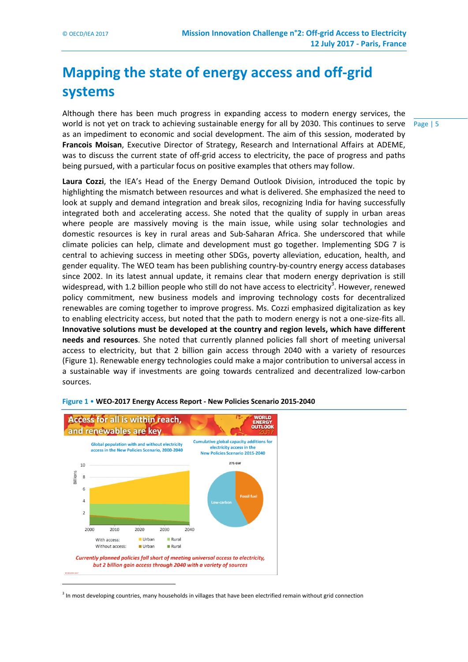# **Mapping the state of energy access and off-grid systems**

Although there has been much progress in expanding access to modern energy services, the world is not yet on track to achieving sustainable energy for all by 2030. This continues to serve as an impediment to economic and social development. The aim of this session, moderated by **Francois Moisan**, Executive Director of Strategy, Research and International Affairs at ADEME, was to discuss the current state of off-grid access to electricity, the pace of progress and paths being pursued, with a particular focus on positive examples that others may follow.

**Laura Cozzi**, the IEA's Head of the Energy Demand Outlook Division, introduced the topic by highlighting the mismatch between resources and what is delivered. She emphasized the need to look at supply and demand integration and break silos, recognizing India for having successfully integrated both and accelerating access. She noted that the quality of supply in urban areas where people are massively moving is the main issue, while using solar technologies and domestic resources is key in rural areas and Sub-Saharan Africa. She underscored that while climate policies can help, climate and development must go together. Implementing SDG 7 is central to achieving success in meeting other SDGs, poverty alleviation, education, health, and gender equality. The WEO team has been publishing country-by-country energy access databases since 2002. In its latest annual update, it remains clear that modern energy deprivation is still widespread, with 1.2 billion people who still do not have access to electricity<sup>3</sup>. However, renewed policy commitment, new business models and improving technology costs for decentralized renewables are coming together to improve progress. Ms. Cozzi emphasized digitalization as key to enabling electricity access, but noted that the path to modern energy is not a one-size-fits all. **Innovative solutions must be developed at the country and region levels, which have different needs and resources**. She noted that currently planned policies fall short of meeting universal access to electricity, but that 2 billion gain access through 2040 with a variety of resources (Figure 1). Renewable energy technologies could make a major contribution to universal access in a sustainable way if investments are going towards centralized and decentralized low-carbon sources.





<sup>&</sup>lt;sup>3</sup> In most developing countries, many households in villages that have been electrified remain without grid connection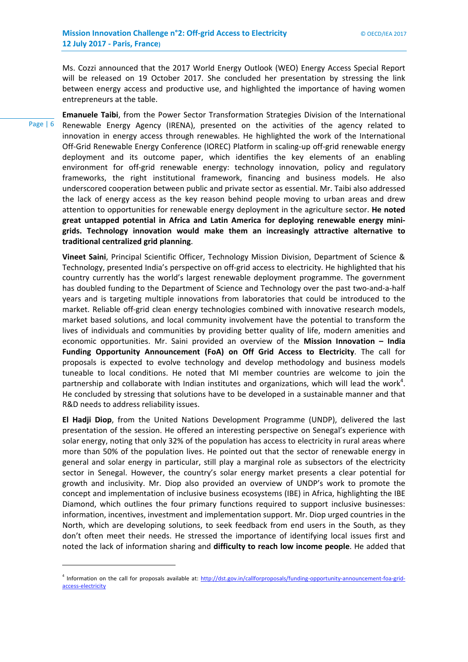Ms. Cozzi announced that the 2017 World Energy Outlook (WEO) Energy Access Special Report will be released on 19 October 2017. She concluded her presentation by stressing the link between energy access and productive use, and highlighted the importance of having women entrepreneurs at the table.

Page | 6 **Emanuele Taibi**, from the Power Sector Transformation Strategies Division of the International Renewable Energy Agency (IRENA), presented on the activities of the agency related to innovation in energy access through renewables. He highlighted the work of the International Off-Grid Renewable Energy Conference (IOREC) Platform in scaling-up off-grid renewable energy deployment and its outcome paper, which identifies the key elements of an enabling environment for off-grid renewable energy: technology innovation, policy and regulatory frameworks, the right institutional framework, financing and business models. He also underscored cooperation between public and private sector as essential. Mr. Taibi also addressed the lack of energy access as the key reason behind people moving to urban areas and drew attention to opportunities for renewable energy deployment in the agriculture sector. **He noted great untapped potential in Africa and Latin America for deploying renewable energy minigrids. Technology innovation would make them an increasingly attractive alternative to traditional centralized grid planning**.

**Vineet Saini**, Principal Scientific Officer, Technology Mission Division, Department of Science & Technology, presented India's perspective on off-grid access to electricity. He highlighted that his country currently has the world's largest renewable deployment programme. The government has doubled funding to the Department of Science and Technology over the past two-and-a-half years and is targeting multiple innovations from laboratories that could be introduced to the market. Reliable off-grid clean energy technologies combined with innovative research models, market based solutions, and local community involvement have the potential to transform the lives of individuals and communities by providing better quality of life, modern amenities and economic opportunities. Mr. Saini provided an overview of the **Mission Innovation – India Funding Opportunity Announcement (FoA) on Off Grid Access to Electricity**. The call for proposals is expected to evolve technology and develop methodology and business models tuneable to local conditions. He noted that MI member countries are welcome to join the partnership and collaborate with Indian institutes and organizations, which will lead the work<sup>4</sup>. He concluded by stressing that solutions have to be developed in a sustainable manner and that R&D needs to address reliability issues.

**El Hadji Diop**, from the United Nations Development Programme (UNDP), delivered the last presentation of the session. He offered an interesting perspective on Senegal's experience with solar energy, noting that only 32% of the population has access to electricity in rural areas where more than 50% of the population lives. He pointed out that the sector of renewable energy in general and solar energy in particular, still play a marginal role as subsectors of the electricity sector in Senegal. However, the country's solar energy market presents a clear potential for growth and inclusivity. Mr. Diop also provided an overview of UNDP's work to promote the concept and implementation of inclusive business ecosystems (IBE) in Africa, highlighting the IBE Diamond, which outlines the four primary functions required to support inclusive businesses: information, incentives, investment and implementation support. Mr. Diop urged countries in the North, which are developing solutions, to seek feedback from end users in the South, as they don't often meet their needs. He stressed the importance of identifying local issues first and noted the lack of information sharing and **difficulty to reach low income people**. He added that

 $\overline{a}$ 

<sup>&</sup>lt;sup>4</sup> Information on the call for proposals available at: http://dst.gov.in/callforproposals/funding-opportunity-announcement-foa-gridaccess-electricity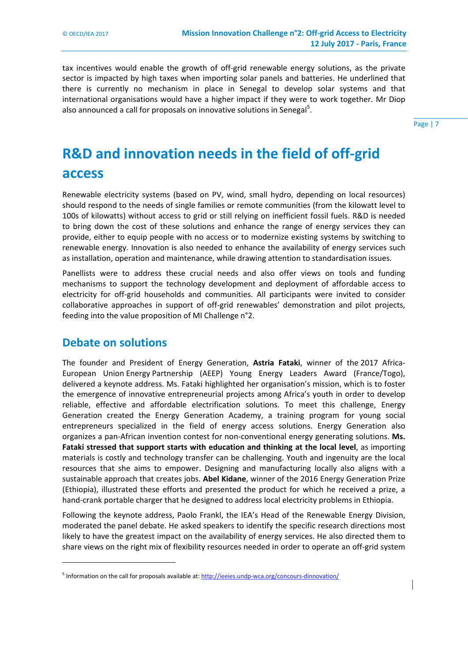tax incentives would enable the growth of off-grid renewable energy solutions, as the private sector is impacted by high taxes when importing solar panels and batteries. He underlined that there is currently no mechanism in place in Senegal to develop solar systems and that international organisations would have a higher impact if they were to work together. Mr Diop also announced a call for proposals on innovative solutions in Senegal<sup>5</sup>.

Page | 7

# **R&D and innovation needs in the field of off-grid access**

Renewable electricity systems (based on PV, wind, small hydro, depending on local resources) should respond to the needs of single families or remote communities (from the kilowatt level to 100s of kilowatts) without access to grid or still relying on inefficient fossil fuels. R&D is needed to bring down the cost of these solutions and enhance the range of energy services they can provide, either to equip people with no access or to modernize existing systems by switching to renewable energy. Innovation is also needed to enhance the availability of energy services such as installation, operation and maintenance, while drawing attention to standardisation issues.

Panellists were to address these crucial needs and also offer views on tools and funding mechanisms to support the technology development and deployment of affordable access to electricity for off-grid households and communities. All participants were invited to consider collaborative approaches in support of off-grid renewables' demonstration and pilot projects, feeding into the value proposition of MI Challenge n°2.

#### **Debate on solutions**

 $\overline{a}$ 

The founder and President of Energy Generation, **Astria Fataki**, winner of the 2017 Africa-European Union Energy Partnership (AEEP) Young Energy Leaders Award (France/Togo), delivered a keynote address. Ms. Fataki highlighted her organisation's mission, which is to foster the emergence of innovative entrepreneurial projects among Africa's youth in order to develop reliable, effective and affordable electrification solutions. To meet this challenge, Energy Generation created the Energy Generation Academy, a training program for young social entrepreneurs specialized in the field of energy access solutions. Energy Generation also organizes a pan-African invention contest for non-conventional energy generating solutions. **Ms. Fataki stressed that support starts with education and thinking at the local level**, as importing materials is costly and technology transfer can be challenging. Youth and ingenuity are the local resources that she aims to empower. Designing and manufacturing locally also aligns with a sustainable approach that creates jobs. **Abel Kidane**, winner of the 2016 Energy Generation Prize (Ethiopia), illustrated these efforts and presented the product for which he received a prize, a hand-crank portable charger that he designed to address local electricity problems in Ethiopia.

Following the keynote address, Paolo Frankl, the IEA's Head of the Renewable Energy Division, moderated the panel debate. He asked speakers to identify the specific research directions most likely to have the greatest impact on the availability of energy services. He also directed them to share views on the right mix of flexibility resources needed in order to operate an off-grid system

<sup>&</sup>lt;sup>5</sup> Information on the call for proposals available at: http://ieeies.undp-wca.org/concours-dinnovation/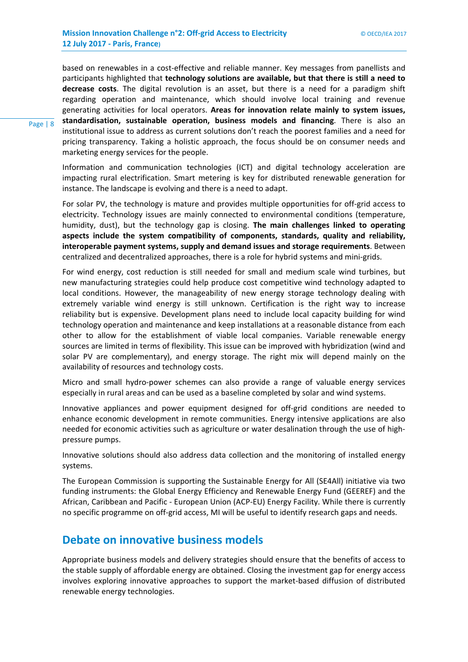based on renewables in a cost-effective and reliable manner. Key messages from panellists and participants highlighted that **technology solutions are available, but that there is still a need to decrease costs**. The digital revolution is an asset, but there is a need for a paradigm shift regarding operation and maintenance, which should involve local training and revenue generating activities for local operators. **Areas for innovation relate mainly to system issues, standardisation, sustainable operation, business models and financing**. There is also an institutional issue to address as current solutions don't reach the poorest families and a need for pricing transparency. Taking a holistic approach, the focus should be on consumer needs and marketing energy services for the people.

Information and communication technologies (ICT) and digital technology acceleration are impacting rural electrification. Smart metering is key for distributed renewable generation for instance. The landscape is evolving and there is a need to adapt.

For solar PV, the technology is mature and provides multiple opportunities for off-grid access to electricity. Technology issues are mainly connected to environmental conditions (temperature, humidity, dust), but the technology gap is closing. **The main challenges linked to operating aspects include the system compatibility of components, standards, quality and reliability, interoperable payment systems, supply and demand issues and storage requirements**. Between centralized and decentralized approaches, there is a role for hybrid systems and mini-grids.

For wind energy, cost reduction is still needed for small and medium scale wind turbines, but new manufacturing strategies could help produce cost competitive wind technology adapted to local conditions. However, the manageability of new energy storage technology dealing with extremely variable wind energy is still unknown. Certification is the right way to increase reliability but is expensive. Development plans need to include local capacity building for wind technology operation and maintenance and keep installations at a reasonable distance from each other to allow for the establishment of viable local companies. Variable renewable energy sources are limited in terms of flexibility. This issue can be improved with hybridization (wind and solar PV are complementary), and energy storage. The right mix will depend mainly on the availability of resources and technology costs.

Micro and small hydro-power schemes can also provide a range of valuable energy services especially in rural areas and can be used as a baseline completed by solar and wind systems.

Innovative appliances and power equipment designed for off-grid conditions are needed to enhance economic development in remote communities. Energy intensive applications are also needed for economic activities such as agriculture or water desalination through the use of highpressure pumps.

Innovative solutions should also address data collection and the monitoring of installed energy systems.

The European Commission is supporting the Sustainable Energy for All (SE4All) initiative via two funding instruments: the Global Energy Efficiency and Renewable Energy Fund (GEEREF) and the African, Caribbean and Pacific - European Union (ACP-EU) Energy Facility. While there is currently no specific programme on off-grid access, MI will be useful to identify research gaps and needs.

#### **Debate on innovative business models**

Appropriate business models and delivery strategies should ensure that the benefits of access to the stable supply of affordable energy are obtained. Closing the investment gap for energy access involves exploring innovative approaches to support the market-based diffusion of distributed renewable energy technologies.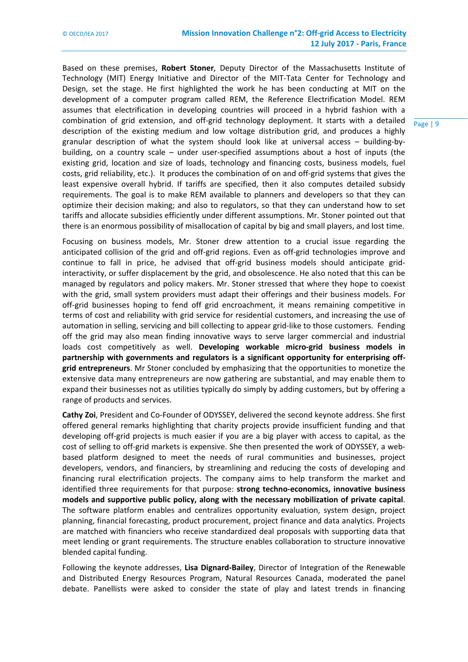Based on these premises, **Robert Stoner**, Deputy Director of the Massachusetts Institute of Technology (MIT) Energy Initiative and Director of the MIT-Tata Center for Technology and Design, set the stage. He first highlighted the work he has been conducting at MIT on the development of a computer program called REM, the Reference Electrification Model. REM assumes that electrification in developing countries will proceed in a hybrid fashion with a combination of grid extension, and off-grid technology deployment. It starts with a detailed description of the existing medium and low voltage distribution grid, and produces a highly granular description of what the system should look like at universal access – building-bybuilding, on a country scale – under user-specified assumptions about a host of inputs (the existing grid, location and size of loads, technology and financing costs, business models, fuel costs, grid reliability, etc.). It produces the combination of on and off-grid systems that gives the least expensive overall hybrid. If tariffs are specified, then it also computes detailed subsidy requirements. The goal is to make REM available to planners and developers so that they can optimize their decision making; and also to regulators, so that they can understand how to set tariffs and allocate subsidies efficiently under different assumptions. Mr. Stoner pointed out that there is an enormous possibility of misallocation of capital by big and small players, and lost time.

Focusing on business models, Mr. Stoner drew attention to a crucial issue regarding the anticipated collision of the grid and off-grid regions. Even as off-grid technologies improve and continue to fall in price, he advised that off-grid business models should anticipate gridinteractivity, or suffer displacement by the grid, and obsolescence. He also noted that this can be managed by regulators and policy makers. Mr. Stoner stressed that where they hope to coexist with the grid, small system providers must adapt their offerings and their business models. For off-grid businesses hoping to fend off grid encroachment, it means remaining competitive in terms of cost and reliability with grid service for residential customers, and increasing the use of automation in selling, servicing and bill collecting to appear grid-like to those customers. Fending off the grid may also mean finding innovative ways to serve larger commercial and industrial loads cost competitively as well. **Developing workable micro-grid business models in partnership with governments and regulators is a significant opportunity for enterprising offgrid entrepreneurs**. Mr Stoner concluded by emphasizing that the opportunities to monetize the extensive data many entrepreneurs are now gathering are substantial, and may enable them to expand their businesses not as utilities typically do simply by adding customers, but by offering a range of products and services.

**Cathy Zoi**, President and Co-Founder of ODYSSEY, delivered the second keynote address. She first offered general remarks highlighting that charity projects provide insufficient funding and that developing off-grid projects is much easier if you are a big player with access to capital, as the cost of selling to off-grid markets is expensive. She then presented the work of ODYSSEY, a webbased platform designed to meet the needs of rural communities and businesses, project developers, vendors, and financiers, by streamlining and reducing the costs of developing and financing rural electrification projects. The company aims to help transform the market and identified three requirements for that purpose: **strong techno-economics, innovative business models and supportive public policy, along with the necessary mobilization of private capital**. The software platform enables and centralizes opportunity evaluation, system design, project planning, financial forecasting, product procurement, project finance and data analytics. Projects are matched with financiers who receive standardized deal proposals with supporting data that meet lending or grant requirements. The structure enables collaboration to structure innovative blended capital funding.

Following the keynote addresses, **Lisa Dignard-Bailey**, Director of Integration of the Renewable and Distributed Energy Resources Program, Natural Resources Canada, moderated the panel debate. Panellists were asked to consider the state of play and latest trends in financing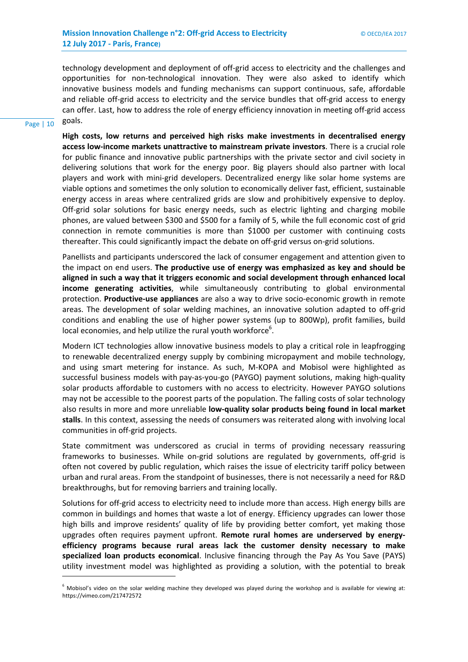technology development and deployment of off-grid access to electricity and the challenges and opportunities for non-technological innovation. They were also asked to identify which innovative business models and funding mechanisms can support continuous, safe, affordable and reliable off-grid access to electricity and the service bundles that off-grid access to energy can offer. Last, how to address the role of energy efficiency innovation in meeting off-grid access goals.

Page | 10

**High costs, low returns and perceived high risks make investments in decentralised energy access low-income markets unattractive to mainstream private investors**. There is a crucial role for public finance and innovative public partnerships with the private sector and civil society in delivering solutions that work for the energy poor. Big players should also partner with local players and work with mini-grid developers. Decentralized energy like solar home systems are viable options and sometimes the only solution to economically deliver fast, efficient, sustainable energy access in areas where centralized grids are slow and prohibitively expensive to deploy. Off-grid solar solutions for basic energy needs, such as electric lighting and charging mobile phones, are valued between \$300 and \$500 for a family of 5, while the full economic cost of grid connection in remote communities is more than \$1000 per customer with continuing costs thereafter. This could significantly impact the debate on off-grid versus on-grid solutions.

Panellists and participants underscored the lack of consumer engagement and attention given to the impact on end users. **The productive use of energy was emphasized as key and should be aligned in such a way that it triggers economic and social development through enhanced local income generating activities**, while simultaneously contributing to global environmental protection. **Productive-use appliances** are also a way to drive socio-economic growth in remote areas. The development of solar welding machines, an innovative solution adapted to off-grid conditions and enabling the use of higher power systems (up to 800Wp), profit families, build local economies, and help utilize the rural youth workforce<sup>6</sup>.

Modern ICT technologies allow innovative business models to play a critical role in leapfrogging to renewable decentralized energy supply by combining micropayment and mobile technology, and using smart metering for instance. As such, M-KOPA and Mobisol were highlighted as successful business models with pay-as-you-go (PAYGO) payment solutions, making high-quality solar products affordable to customers with no access to electricity. However PAYGO solutions may not be accessible to the poorest parts of the population. The falling costs of solar technology also results in more and more unreliable **low-quality solar products being found in local market stalls**. In this context, assessing the needs of consumers was reiterated along with involving local communities in off-grid projects.

State commitment was underscored as crucial in terms of providing necessary reassuring frameworks to businesses. While on-grid solutions are regulated by governments, off-grid is often not covered by public regulation, which raises the issue of electricity tariff policy between urban and rural areas. From the standpoint of businesses, there is not necessarily a need for R&D breakthroughs, but for removing barriers and training locally.

Solutions for off-grid access to electricity need to include more than access. High energy bills are common in buildings and homes that waste a lot of energy. Efficiency upgrades can lower those high bills and improve residents' quality of life by providing better comfort, yet making those upgrades often requires payment upfront. **Remote rural homes are underserved by energyefficiency programs because rural areas lack the customer density necessary to make specialized loan products economical**. Inclusive financing through the Pay As You Save (PAYS) utility investment model was highlighted as providing a solution, with the potential to break

 $^6$  Mobisol's video on the solar welding machine they developed was played during the workshop and is available for viewing at: https://vimeo.com/217472572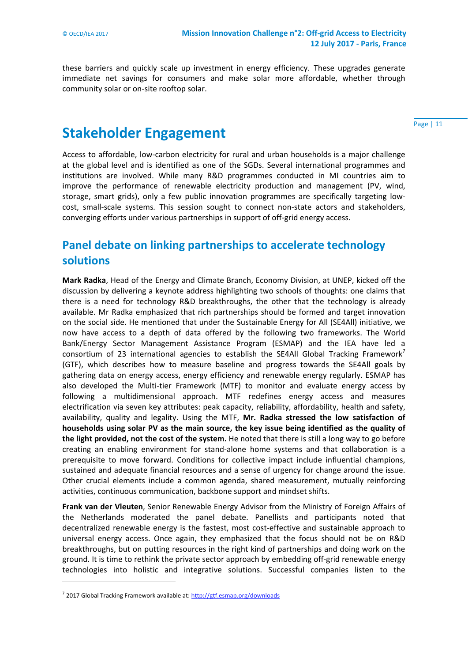these barriers and quickly scale up investment in energy efficiency. These upgrades generate immediate net savings for consumers and make solar more affordable, whether through community solar or on-site rooftop solar.

## **Stakeholder Engagement**

Access to affordable, low-carbon electricity for rural and urban households is a major challenge at the global level and is identified as one of the SGDs. Several international programmes and institutions are involved. While many R&D programmes conducted in MI countries aim to improve the performance of renewable electricity production and management (PV, wind, storage, smart grids), only a few public innovation programmes are specifically targeting lowcost, small-scale systems*.* This session sought to connect non-state actors and stakeholders, converging efforts under various partnerships in support of off-grid energy access.

### **Panel debate on linking partnerships to accelerate technology solutions**

**Mark Radka**, Head of the Energy and Climate Branch, Economy Division, at UNEP, kicked off the discussion by delivering a keynote address highlighting two schools of thoughts: one claims that there is a need for technology R&D breakthroughs, the other that the technology is already available. Mr Radka emphasized that rich partnerships should be formed and target innovation on the social side. He mentioned that under the Sustainable Energy for All (SE4All) initiative, we now have access to a depth of data offered by the following two frameworks. The World Bank/Energy Sector Management Assistance Program (ESMAP) and the IEA have led a consortium of 23 international agencies to establish the SE4All Global Tracking Framework<sup>1</sup> (GTF), which describes how to measure baseline and progress towards the SE4All goals by gathering data on energy access, energy efficiency and renewable energy regularly. ESMAP has also developed the Multi-tier Framework (MTF) to monitor and evaluate energy access by following a multidimensional approach. MTF redefines energy access and measures electrification via seven key attributes: peak capacity, reliability, affordability, health and safety, availability, quality and legality. Using the MTF, **Mr. Radka stressed the low satisfaction of households using solar PV as the main source, the key issue being identified as the quality of the light provided, not the cost of the system.** He noted that there is still a long way to go before creating an enabling environment for stand-alone home systems and that collaboration is a prerequisite to move forward. Conditions for collective impact include influential champions, sustained and adequate financial resources and a sense of urgency for change around the issue. Other crucial elements include a common agenda, shared measurement, mutually reinforcing activities, continuous communication, backbone support and mindset shifts.

**Frank van der Vleuten**, Senior Renewable Energy Advisor from the Ministry of Foreign Affairs of the Netherlands moderated the panel debate. Panellists and participants noted that decentralized renewable energy is the fastest, most cost-effective and sustainable approach to universal energy access. Once again, they emphasized that the focus should not be on R&D breakthroughs, but on putting resources in the right kind of partnerships and doing work on the ground. It is time to rethink the private sector approach by embedding off-grid renewable energy technologies into holistic and integrative solutions. Successful companies listen to the

 $\overline{a}$ 

<sup>&</sup>lt;sup>7</sup> 2017 Global Tracking Framework available at: http://gtf.esmap.org/downloads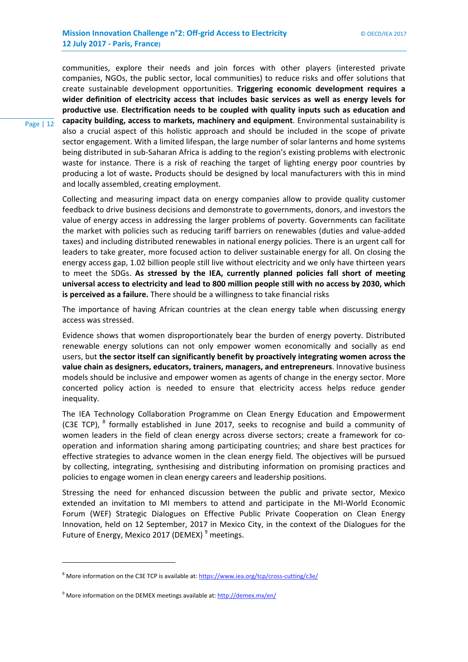Page | 12

 $\overline{a}$ 

communities, explore their needs and join forces with other players (interested private companies, NGOs, the public sector, local communities) to reduce risks and offer solutions that create sustainable development opportunities. **Triggering economic development requires a wider definition of electricity access that includes basic services as well as energy levels for productive use**. **Electrification needs to be coupled with quality inputs such as education and capacity building, access to markets, machinery and equipment**. Environmental sustainability is also a crucial aspect of this holistic approach and should be included in the scope of private sector engagement. With a limited lifespan, the large number of solar lanterns and home systems being distributed in sub-Saharan Africa is adding to the region's existing problems with electronic waste for instance. There is a risk of reaching the target of lighting energy poor countries by producing a lot of waste**.** Products should be designed by local manufacturers with this in mind and locally assembled, creating employment.

Collecting and measuring impact data on energy companies allow to provide quality customer feedback to drive business decisions and demonstrate to governments, donors, and investors the value of energy access in addressing the larger problems of poverty. Governments can facilitate the market with policies such as reducing tariff barriers on renewables (duties and value-added taxes) and including distributed renewables in national energy policies. There is an urgent call for leaders to take greater, more focused action to deliver sustainable energy for all. On closing the energy access gap, 1.02 billion people still live without electricity and we only have thirteen years to meet the SDGs. **As stressed by the IEA, currently planned policies fall short of meeting universal access to electricity and lead to 800 million people still with no access by 2030, which is perceived as a failure.** There should be a willingness to take financial risks

The importance of having African countries at the clean energy table when discussing energy access was stressed.

Evidence shows that women disproportionately bear the burden of energy poverty. Distributed renewable energy solutions can not only empower women economically and socially as end users, but **the sector itself can significantly benefit by proactively integrating women across the value chain as designers, educators, trainers, managers, and entrepreneurs**. Innovative business models should be inclusive and empower women as agents of change in the energy sector. More concerted policy action is needed to ensure that electricity access helps reduce gender inequality.

The IEA Technology Collaboration Programme on Clean Energy Education and Empowerment (C3E TCP),  $8$  formally established in June 2017, seeks to recognise and build a community of women leaders in the field of clean energy across diverse sectors; create a framework for cooperation and information sharing among participating countries; and share best practices for effective strategies to advance women in the clean energy field. The objectives will be pursued by collecting, integrating, synthesising and distributing information on promising practices and policies to engage women in clean energy careers and leadership positions.

Stressing the need for enhanced discussion between the public and private sector, Mexico extended an invitation to MI members to attend and participate in the MI-World Economic Forum (WEF) Strategic Dialogues on Effective Public Private Cooperation on Clean Energy Innovation, held on 12 September, 2017 in Mexico City, in the context of the Dialogues for the Future of Energy, Mexico 2017 (DEMEX)<sup>9</sup> meetings.

<sup>&</sup>lt;sup>8</sup> More information on the C3E TCP is available at: https://www.iea.org/tcp/cross-cutting/c3e/

<sup>&</sup>lt;sup>9</sup> More information on the DEMEX meetings available at: http://demex.mx/en/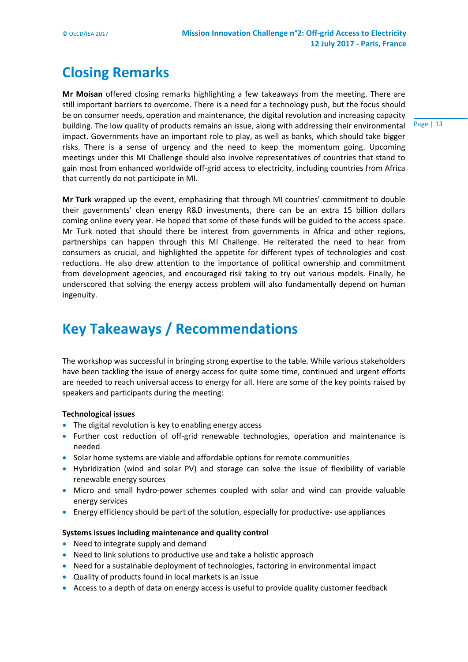# **Closing Remarks**

**Mr Moisan** offered closing remarks highlighting a few takeaways from the meeting. There are still important barriers to overcome. There is a need for a technology push, but the focus should be on consumer needs, operation and maintenance, the digital revolution and increasing capacity building. The low quality of products remains an issue, along with addressing their environmental impact. Governments have an important role to play, as well as banks, which should take bigger risks. There is a sense of urgency and the need to keep the momentum going. Upcoming meetings under this MI Challenge should also involve representatives of countries that stand to gain most from enhanced worldwide off-grid access to electricity, including countries from Africa that currently do not participate in MI.

Page | 13

**Mr Turk** wrapped up the event, emphasizing that through MI countries' commitment to double their governments' clean energy R&D investments, there can be an extra 15 billion dollars coming online every year. He hoped that some of these funds will be guided to the access space. Mr Turk noted that should there be interest from governments in Africa and other regions, partnerships can happen through this MI Challenge. He reiterated the need to hear from consumers as crucial, and highlighted the appetite for different types of technologies and cost reductions. He also drew attention to the importance of political ownership and commitment from development agencies, and encouraged risk taking to try out various models. Finally, he underscored that solving the energy access problem will also fundamentally depend on human ingenuity.

# **Key Takeaways / Recommendations**

The workshop was successful in bringing strong expertise to the table. While various stakeholders have been tackling the issue of energy access for quite some time, continued and urgent efforts are needed to reach universal access to energy for all. Here are some of the key points raised by speakers and participants during the meeting:

#### **Technological issues**

- The digital revolution is key to enabling energy access
- Further cost reduction of off-grid renewable technologies, operation and maintenance is needed
- Solar home systems are viable and affordable options for remote communities
- Hybridization (wind and solar PV) and storage can solve the issue of flexibility of variable renewable energy sources
- Micro and small hydro-power schemes coupled with solar and wind can provide valuable energy services
- Energy efficiency should be part of the solution, especially for productive- use appliances

#### **Systems issues including maintenance and quality control**

- Need to integrate supply and demand
- Need to link solutions to productive use and take a holistic approach
- Need for a sustainable deployment of technologies, factoring in environmental impact
- Quality of products found in local markets is an issue
- Access to a depth of data on energy access is useful to provide quality customer feedback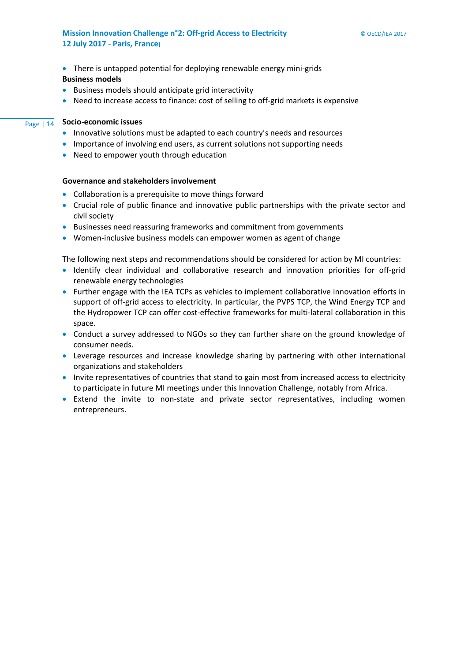- There is untapped potential for deploying renewable energy mini-grids **Business models**
- Business models should anticipate grid interactivity
- Need to increase access to finance: cost of selling to off-grid markets is expensive

#### Page | 14 **Socio-economic issues**

- Innovative solutions must be adapted to each country's needs and resources
- Importance of involving end users, as current solutions not supporting needs
- Need to empower youth through education

#### **Governance and stakeholders involvement**

- Collaboration is a prerequisite to move things forward
- Crucial role of public finance and innovative public partnerships with the private sector and civil society
- Businesses need reassuring frameworks and commitment from governments
- Women-inclusive business models can empower women as agent of change

The following next steps and recommendations should be considered for action by MI countries:

- Identify clear individual and collaborative research and innovation priorities for off-grid renewable energy technologies
- Further engage with the IEA TCPs as vehicles to implement collaborative innovation efforts in support of off-grid access to electricity. In particular, the PVPS TCP, the Wind Energy TCP and the Hydropower TCP can offer cost-effective frameworks for multi-lateral collaboration in this space.
- Conduct a survey addressed to NGOs so they can further share on the ground knowledge of consumer needs.
- Leverage resources and increase knowledge sharing by partnering with other international organizations and stakeholders
- Invite representatives of countries that stand to gain most from increased access to electricity to participate in future MI meetings under this Innovation Challenge, notably from Africa.
- Extend the invite to non-state and private sector representatives, including women entrepreneurs.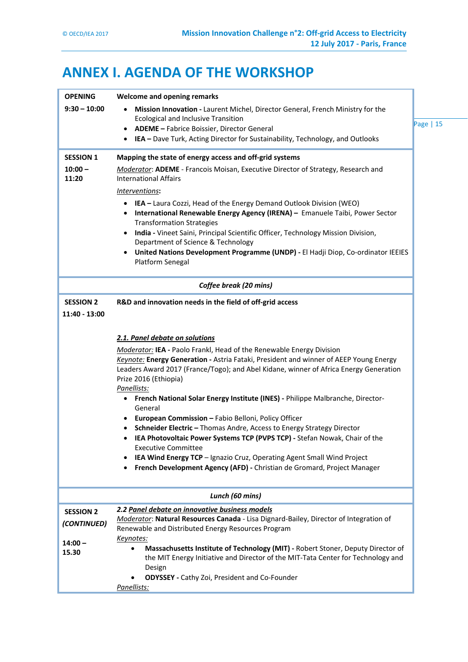# **ANNEX I. AGENDA OF THE WORKSHOP**

| <b>OPENING</b><br>$9:30 - 10:00$                      | <b>Welcome and opening remarks</b><br>Mission Innovation - Laurent Michel, Director General, French Ministry for the<br>$\bullet$<br><b>Ecological and Inclusive Transition</b><br>• ADEME - Fabrice Boissier, Director General<br><b>IEA</b> - Dave Turk, Acting Director for Sustainability, Technology, and Outlooks                                                                                                                                                                                                                                                                                                                                                                                                                                                                                                                                                                                                           | Page   $15$ |
|-------------------------------------------------------|-----------------------------------------------------------------------------------------------------------------------------------------------------------------------------------------------------------------------------------------------------------------------------------------------------------------------------------------------------------------------------------------------------------------------------------------------------------------------------------------------------------------------------------------------------------------------------------------------------------------------------------------------------------------------------------------------------------------------------------------------------------------------------------------------------------------------------------------------------------------------------------------------------------------------------------|-------------|
| <b>SESSION 1</b><br>$10:00 -$<br>11:20                | Mapping the state of energy access and off-grid systems<br>Moderator: ADEME - Francois Moisan, Executive Director of Strategy, Research and<br><b>International Affairs</b><br>Interventions:<br>IEA - Laura Cozzi, Head of the Energy Demand Outlook Division (WEO)<br>International Renewable Energy Agency (IRENA) - Emanuele Taibi, Power Sector<br>$\bullet$<br><b>Transformation Strategies</b><br>India - Vineet Saini, Principal Scientific Officer, Technology Mission Division,<br>Department of Science & Technology<br>United Nations Development Programme (UNDP) - El Hadji Diop, Co-ordinator IEEIES<br>Platform Senegal                                                                                                                                                                                                                                                                                           |             |
| <b>SESSION 2</b><br>11:40 - 13:00                     | Coffee break (20 mins)<br>R&D and innovation needs in the field of off-grid access<br>2.1. Panel debate on solutions<br>Moderator: IEA - Paolo Frankl, Head of the Renewable Energy Division<br>Keynote: Energy Generation - Astria Fataki, President and winner of AEEP Young Energy<br>Leaders Award 2017 (France/Togo); and Abel Kidane, winner of Africa Energy Generation<br>Prize 2016 (Ethiopia)<br>Panellists:<br>French National Solar Energy Institute (INES) - Philippe Malbranche, Director-<br>General<br>European Commission - Fabio Belloni, Policy Officer<br>Schneider Electric - Thomas Andre, Access to Energy Strategy Director<br>IEA Photovoltaic Power Systems TCP (PVPS TCP) - Stefan Nowak, Chair of the<br><b>Executive Committee</b><br>IEA Wind Energy TCP - Ignazio Cruz, Operating Agent Small Wind Project<br>French Development Agency (AFD) - Christian de Gromard, Project Manager<br>$\bullet$ |             |
| <b>SESSION 2</b><br>(CONTINUED)<br>$14:00 -$<br>15.30 | Lunch (60 mins)<br>2.2 Panel debate on innovative business models<br>Moderator: Natural Resources Canada - Lisa Dignard-Bailey, Director of Integration of<br>Renewable and Distributed Energy Resources Program<br>Keynotes:<br>Massachusetts Institute of Technology (MIT) - Robert Stoner, Deputy Director of<br>$\bullet$<br>the MIT Energy Initiative and Director of the MIT-Tata Center for Technology and<br>Design<br><b>ODYSSEY</b> - Cathy Zoi, President and Co-Founder<br><u>Panellists:</u>                                                                                                                                                                                                                                                                                                                                                                                                                         |             |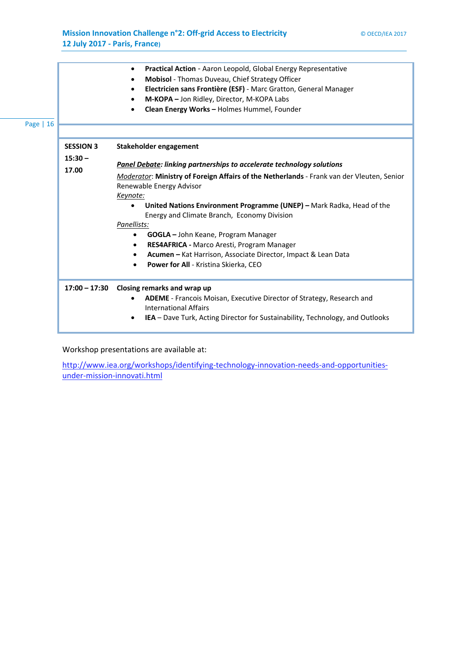|                  | <b>Practical Action - Aaron Leopold, Global Energy Representative</b><br>٠                       |
|------------------|--------------------------------------------------------------------------------------------------|
|                  | Mobisol - Thomas Duveau, Chief Strategy Officer                                                  |
|                  | Electricien sans Frontière (ESF) - Marc Gratton, General Manager                                 |
|                  | M-KOPA - Jon Ridley, Director, M-KOPA Labs<br>$\bullet$                                          |
|                  | Clean Energy Works - Holmes Hummel, Founder                                                      |
|                  |                                                                                                  |
| <b>SESSION 3</b> | Stakeholder engagement                                                                           |
| $15:30 -$        |                                                                                                  |
|                  | Panel Debate: linking partnerships to accelerate technology solutions                            |
| 17.00            | <i>Moderator:</i> Ministry of Foreign Affairs of the Netherlands - Frank van der Vleuten, Senior |
|                  | Renewable Energy Advisor                                                                         |
|                  | Keynote:                                                                                         |
|                  | United Nations Environment Programme (UNEP) - Mark Radka, Head of the<br>$\bullet$               |
|                  | Energy and Climate Branch, Economy Division                                                      |
|                  | Panellists:                                                                                      |
|                  | <b>GOGLA</b> - John Keane, Program Manager<br>$\bullet$                                          |
|                  | RES4AFRICA - Marco Aresti, Program Manager<br>$\bullet$                                          |
|                  | Acumen - Kat Harrison, Associate Director, Impact & Lean Data                                    |
|                  | Power for All - Kristina Skierka, CEO<br>$\bullet$                                               |
| $17:00 - 17:30$  | Closing remarks and wrap up                                                                      |
|                  | <b>ADEME</b> - Francois Moisan, Executive Director of Strategy, Research and<br>$\bullet$        |
|                  | International Affairs                                                                            |
|                  | IEA - Dave Turk, Acting Director for Sustainability, Technology, and Outlooks                    |
|                  |                                                                                                  |
|                  |                                                                                                  |

Workshop presentations are available at:

Page | 16

http://www.iea.org/workshops/identifying-technology-innovation-needs-and-opportunitiesunder-mission-innovati.html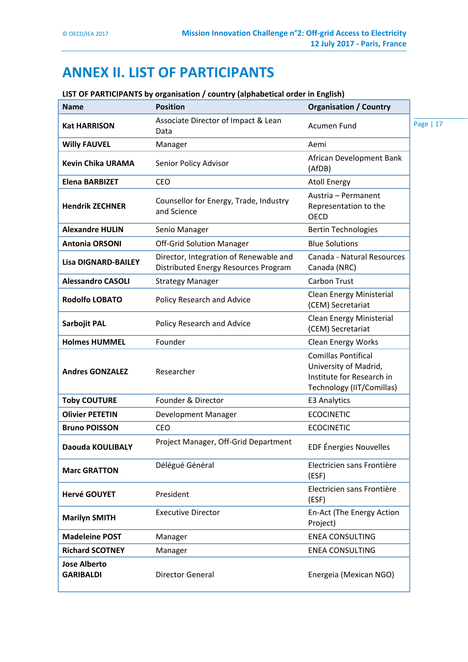# **ANNEX II. LIST OF PARTICIPANTS**

| LIST OF PARTICIPANTS by organisation / country (alphabetical order in English) |  |  |  |
|--------------------------------------------------------------------------------|--|--|--|
|--------------------------------------------------------------------------------|--|--|--|

| <b>Name</b>                             | <b>Position</b>                                                                | <b>Organisation / Country</b>                                                                                 |           |
|-----------------------------------------|--------------------------------------------------------------------------------|---------------------------------------------------------------------------------------------------------------|-----------|
| <b>Kat HARRISON</b>                     | Associate Director of Impact & Lean<br>Data                                    | Acumen Fund                                                                                                   | Page   17 |
| <b>Willy FAUVEL</b>                     | Manager                                                                        | Aemi                                                                                                          |           |
| <b>Kevin Chika URAMA</b>                | Senior Policy Advisor                                                          | African Development Bank<br>(AfDB)                                                                            |           |
| <b>Elena BARBIZET</b>                   | CEO                                                                            | <b>Atoll Energy</b>                                                                                           |           |
| <b>Hendrik ZECHNER</b>                  | Counsellor for Energy, Trade, Industry<br>and Science                          | Austria - Permanent<br>Representation to the<br><b>OECD</b>                                                   |           |
| <b>Alexandre HULIN</b>                  | Senio Manager                                                                  | <b>Bertin Technologies</b>                                                                                    |           |
| <b>Antonia ORSONI</b>                   | <b>Off-Grid Solution Manager</b>                                               | <b>Blue Solutions</b>                                                                                         |           |
| <b>Lisa DIGNARD-BAILEY</b>              | Director, Integration of Renewable and<br>Distributed Energy Resources Program | Canada - Natural Resources<br>Canada (NRC)                                                                    |           |
| <b>Alessandro CASOLI</b>                | <b>Strategy Manager</b>                                                        | <b>Carbon Trust</b>                                                                                           |           |
| <b>Rodolfo LOBATO</b>                   | Policy Research and Advice                                                     | <b>Clean Energy Ministerial</b><br>(CEM) Secretariat                                                          |           |
| Sarbojit PAL                            | Policy Research and Advice                                                     | <b>Clean Energy Ministerial</b><br>(CEM) Secretariat                                                          |           |
| <b>Holmes HUMMEL</b>                    | Founder                                                                        | <b>Clean Energy Works</b>                                                                                     |           |
| <b>Andres GONZALEZ</b>                  | Researcher                                                                     | <b>Comillas Pontifical</b><br>University of Madrid,<br>Institute for Research in<br>Technology (IIT/Comillas) |           |
| <b>Toby COUTURE</b>                     | Founder & Director                                                             | <b>E3 Analytics</b>                                                                                           |           |
| <b>Olivier PETETIN</b>                  | Development Manager                                                            | <b>ECOCINETIC</b>                                                                                             |           |
| <b>Bruno POISSON</b>                    | <b>CEO</b>                                                                     | <b>ECOCINETIC</b>                                                                                             |           |
| Daouda KOULIBALY                        | Project Manager, Off-Grid Department                                           | <b>EDF Énergies Nouvelles</b>                                                                                 |           |
| <b>Marc GRATTON</b>                     | Délégué Général                                                                | Electricien sans Frontière<br>(ESF)                                                                           |           |
| <b>Hervé GOUYET</b>                     | President                                                                      | Electricien sans Frontière<br>(ESF)                                                                           |           |
| <b>Marilyn SMITH</b>                    | <b>Executive Director</b>                                                      | En-Act (The Energy Action<br>Project)                                                                         |           |
| <b>Madeleine POST</b>                   | Manager                                                                        | <b>ENEA CONSULTING</b>                                                                                        |           |
| <b>Richard SCOTNEY</b>                  | Manager                                                                        | <b>ENEA CONSULTING</b>                                                                                        |           |
| <b>Jose Alberto</b><br><b>GARIBALDI</b> | Director General                                                               | Energeia (Mexican NGO)                                                                                        |           |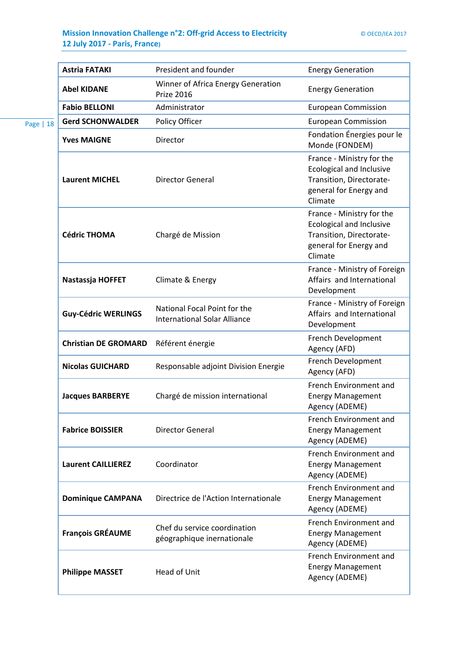|    | <b>Astria FATAKI</b>        | President and founder                                               | <b>Energy Generation</b>                                                                                                      |
|----|-----------------------------|---------------------------------------------------------------------|-------------------------------------------------------------------------------------------------------------------------------|
|    | <b>Abel KIDANE</b>          | Winner of Africa Energy Generation<br><b>Prize 2016</b>             | <b>Energy Generation</b>                                                                                                      |
|    | <b>Fabio BELLONI</b>        | Administrator                                                       | <b>European Commission</b>                                                                                                    |
| 18 | <b>Gerd SCHONWALDER</b>     | Policy Officer                                                      | <b>European Commission</b>                                                                                                    |
|    | <b>Yves MAIGNE</b>          | Director                                                            | Fondation Énergies pour le<br>Monde (FONDEM)                                                                                  |
|    | <b>Laurent MICHEL</b>       | <b>Director General</b>                                             | France - Ministry for the<br><b>Ecological and Inclusive</b><br>Transition, Directorate-<br>general for Energy and<br>Climate |
|    | <b>Cédric THOMA</b>         | Chargé de Mission                                                   | France - Ministry for the<br><b>Ecological and Inclusive</b><br>Transition, Directorate-<br>general for Energy and<br>Climate |
|    | Nastassja HOFFET            | Climate & Energy                                                    | France - Ministry of Foreign<br>Affairs and International<br>Development                                                      |
|    | <b>Guy-Cédric WERLINGS</b>  | National Focal Point for the<br><b>International Solar Alliance</b> | France - Ministry of Foreign<br>Affairs and International<br>Development                                                      |
|    | <b>Christian DE GROMARD</b> | Référent énergie                                                    | French Development<br>Agency (AFD)                                                                                            |
|    | <b>Nicolas GUICHARD</b>     | Responsable adjoint Division Energie                                | French Development<br>Agency (AFD)                                                                                            |
|    | <b>Jacques BARBERYE</b>     | Chargé de mission international                                     | French Environment and<br><b>Energy Management</b><br>Agency (ADEME)                                                          |
|    | <b>Fabrice BOISSIER</b>     | <b>Director General</b>                                             | French Environment and<br><b>Energy Management</b><br>Agency (ADEME)                                                          |
|    | <b>Laurent CAILLIEREZ</b>   | Coordinator                                                         | French Environment and<br><b>Energy Management</b><br>Agency (ADEME)                                                          |
|    | <b>Dominique CAMPANA</b>    | Directrice de l'Action Internationale                               | French Environment and<br><b>Energy Management</b><br>Agency (ADEME)                                                          |
|    | <b>François GRÉAUME</b>     | Chef du service coordination<br>géographique inernationale          | French Environment and<br><b>Energy Management</b><br>Agency (ADEME)                                                          |
|    | <b>Philippe MASSET</b>      | Head of Unit                                                        | French Environment and<br><b>Energy Management</b><br>Agency (ADEME)                                                          |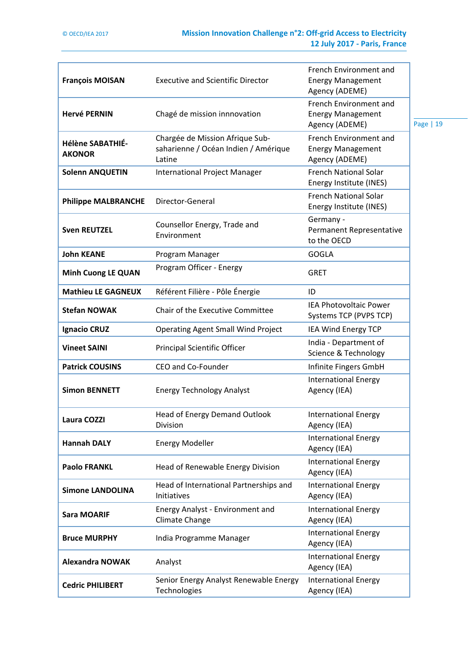| <b>François MOISAN</b>                   | <b>Executive and Scientific Director</b>                                          | French Environment and<br><b>Energy Management</b><br>Agency (ADEME) |
|------------------------------------------|-----------------------------------------------------------------------------------|----------------------------------------------------------------------|
| <b>Hervé PERNIN</b>                      | Chagé de mission innnovation                                                      | French Environment and<br><b>Energy Management</b><br>Agency (ADEME) |
| <b>Hélène SABATHIÉ-</b><br><b>AKONOR</b> | Chargée de Mission Afrique Sub-<br>saharienne / Océan Indien / Amérique<br>Latine | French Environment and<br><b>Energy Management</b><br>Agency (ADEME) |
| <b>Solenn ANQUETIN</b>                   | <b>International Project Manager</b>                                              | <b>French National Solar</b><br>Energy Institute (INES)              |
| <b>Philippe MALBRANCHE</b>               | Director-General                                                                  | <b>French National Solar</b><br>Energy Institute (INES)              |
| <b>Sven REUTZEL</b>                      | Counsellor Energy, Trade and<br>Environment                                       | Germany -<br>Permanent Representative<br>to the OECD                 |
| <b>John KEANE</b>                        | Program Manager                                                                   | <b>GOGLA</b>                                                         |
| <b>Minh Cuong LE QUAN</b>                | Program Officer - Energy                                                          | <b>GRET</b>                                                          |
| <b>Mathieu LE GAGNEUX</b>                | Référent Filière - Pôle Énergie                                                   | ID                                                                   |
| <b>Stefan NOWAK</b>                      | Chair of the Executive Committee                                                  | <b>IEA Photovoltaic Power</b><br>Systems TCP (PVPS TCP)              |
| <b>Ignacio CRUZ</b>                      | <b>Operating Agent Small Wind Project</b>                                         | IEA Wind Energy TCP                                                  |
| <b>Vineet SAINI</b>                      | <b>Principal Scientific Officer</b>                                               | India - Department of<br>Science & Technology                        |
| <b>Patrick COUSINS</b>                   | CEO and Co-Founder                                                                | Infinite Fingers GmbH                                                |
| <b>Simon BENNETT</b>                     | <b>Energy Technology Analyst</b>                                                  | <b>International Energy</b><br>Agency (IEA)                          |
| Laura COZZI                              | Head of Energy Demand Outlook<br>Division                                         | <b>International Energy</b><br>Agency (IEA)                          |
| <b>Hannah DALY</b>                       | <b>Energy Modeller</b>                                                            | <b>International Energy</b><br>Agency (IEA)                          |
| <b>Paolo FRANKL</b>                      | Head of Renewable Energy Division                                                 | <b>International Energy</b><br>Agency (IEA)                          |
| <b>Simone LANDOLINA</b>                  | Head of International Partnerships and<br>Initiatives                             | <b>International Energy</b><br>Agency (IEA)                          |
| <b>Sara MOARIF</b>                       | Energy Analyst - Environment and<br>Climate Change                                | <b>International Energy</b><br>Agency (IEA)                          |
| <b>Bruce MURPHY</b>                      | India Programme Manager                                                           | <b>International Energy</b><br>Agency (IEA)                          |
| <b>Alexandra NOWAK</b>                   | Analyst                                                                           | <b>International Energy</b><br>Agency (IEA)                          |
| <b>Cedric PHILIBERT</b>                  | Senior Energy Analyst Renewable Energy<br>Technologies                            | <b>International Energy</b><br>Agency (IEA)                          |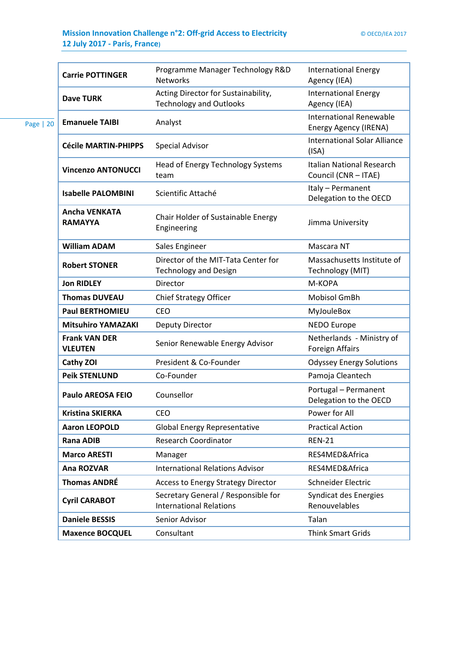#### **Mission Innovation Challenge n°2: Off-grid Access to Electricity <br>
© OECD/IEA 2017 12 July 2017 - Paris, France)**

|           | <b>Carrie POTTINGER</b>                | Programme Manager Technology R&D<br><b>Networks</b>                   | <b>International Energy</b><br>Agency (IEA)              |
|-----------|----------------------------------------|-----------------------------------------------------------------------|----------------------------------------------------------|
|           | <b>Dave TURK</b>                       | Acting Director for Sustainability,<br><b>Technology and Outlooks</b> | <b>International Energy</b><br>Agency (IEA)              |
| Page   20 | <b>Emanuele TAIBI</b>                  | Analyst                                                               | <b>International Renewable</b><br>Energy Agency (IRENA)  |
|           | <b>Cécile MARTIN-PHIPPS</b>            | <b>Special Advisor</b>                                                | <b>International Solar Alliance</b><br>(ISA)             |
|           | <b>Vincenzo ANTONUCCI</b>              | Head of Energy Technology Systems<br>team                             | <b>Italian National Research</b><br>Council (CNR - ITAE) |
|           | <b>Isabelle PALOMBINI</b>              | Scientific Attaché                                                    | Italy - Permanent<br>Delegation to the OECD              |
|           | <b>Ancha VENKATA</b><br><b>RAMAYYA</b> | Chair Holder of Sustainable Energy<br>Engineering                     | Jimma University                                         |
|           | <b>William ADAM</b>                    | Sales Engineer                                                        | Mascara NT                                               |
|           | <b>Robert STONER</b>                   | Director of the MIT-Tata Center for<br><b>Technology and Design</b>   | Massachusetts Institute of<br>Technology (MIT)           |
|           | <b>Jon RIDLEY</b>                      | Director                                                              | M-KOPA                                                   |
|           | <b>Thomas DUVEAU</b>                   | <b>Chief Strategy Officer</b>                                         | Mobisol GmBh                                             |
|           | <b>Paul BERTHOMIEU</b>                 | <b>CEO</b>                                                            | <b>MyJouleBox</b>                                        |
|           | <b>Mitsuhiro YAMAZAKI</b>              | <b>Deputy Director</b>                                                | <b>NEDO Europe</b>                                       |
|           | <b>Frank VAN DER</b><br><b>VLEUTEN</b> | Senior Renewable Energy Advisor                                       | Netherlands - Ministry of<br>Foreign Affairs             |
|           | Cathy ZOI                              | President & Co-Founder                                                | <b>Odyssey Energy Solutions</b>                          |
|           | <b>Peik STENLUND</b>                   | Co-Founder                                                            | Pamoja Cleantech                                         |
|           | <b>Paulo AREOSA FEIO</b>               | Counsellor                                                            | Portugal - Permanent<br>Delegation to the OECD           |
|           | <b>Kristina SKIERKA</b>                | CEO                                                                   | Power for All                                            |
|           | <b>Aaron LEOPOLD</b>                   | Global Energy Representative                                          | <b>Practical Action</b>                                  |
|           | <b>Rana ADIB</b>                       | <b>Research Coordinator</b>                                           | <b>REN-21</b>                                            |
|           | <b>Marco ARESTI</b>                    | Manager                                                               | RES4MED&Africa                                           |
|           | Ana ROZVAR                             | <b>International Relations Advisor</b>                                | RES4MED&Africa                                           |
|           | <b>Thomas ANDRÉ</b>                    | Access to Energy Strategy Director                                    | Schneider Electric                                       |
|           | <b>Cyril CARABOT</b>                   | Secretary General / Responsible for<br><b>International Relations</b> | Syndicat des Energies<br>Renouvelables                   |
|           | <b>Daniele BESSIS</b>                  | Senior Advisor                                                        | Talan                                                    |
|           | <b>Maxence BOCQUEL</b>                 | Consultant                                                            | <b>Think Smart Grids</b>                                 |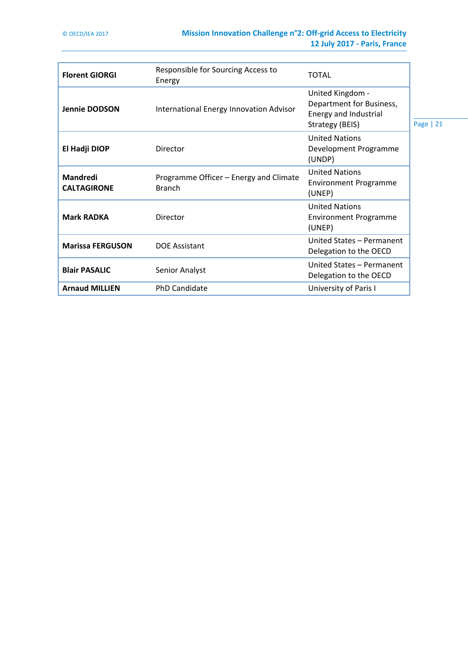| <b>Florent GIORGI</b>                 | Responsible for Sourcing Access to<br>Energy            | <b>TOTAL</b>                                                                             |     |
|---------------------------------------|---------------------------------------------------------|------------------------------------------------------------------------------------------|-----|
| <b>Jennie DODSON</b>                  | International Energy Innovation Advisor                 | United Kingdom -<br>Department for Business,<br>Energy and Industrial<br>Strategy (BEIS) | Pag |
| El Hadji DIOP                         | Director                                                | <b>United Nations</b><br>Development Programme<br>(UNDP)                                 |     |
| <b>Mandredi</b><br><b>CALTAGIRONE</b> | Programme Officer - Energy and Climate<br><b>Branch</b> | <b>United Nations</b><br><b>Environment Programme</b><br>(UNEP)                          |     |
| <b>Mark RADKA</b>                     | Director                                                | <b>United Nations</b><br><b>Environment Programme</b><br>(UNEP)                          |     |
| <b>Marissa FERGUSON</b>               | <b>DOE Assistant</b>                                    | United States - Permanent<br>Delegation to the OECD                                      |     |
| <b>Blair PASALIC</b>                  | Senior Analyst                                          | United States - Permanent<br>Delegation to the OECD                                      |     |
| <b>Arnaud MILLIEN</b>                 | <b>PhD Candidate</b>                                    | University of Paris I                                                                    |     |
|                                       |                                                         |                                                                                          |     |

ge | 21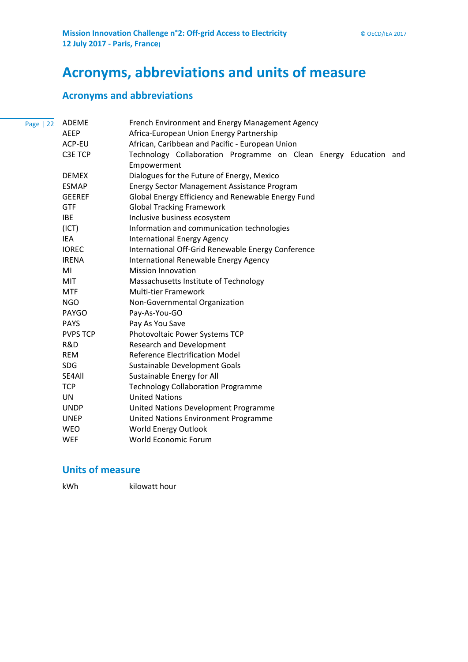# **Acronyms, abbreviations and units of measure**

## **Acronyms and abbreviations**

| Page   22                                                 | ADEME           | French Environment and Energy Management Agency                  |  |
|-----------------------------------------------------------|-----------------|------------------------------------------------------------------|--|
| Africa-European Union Energy Partnership<br>AEEP          |                 |                                                                  |  |
| African, Caribbean and Pacific - European Union<br>ACP-EU |                 |                                                                  |  |
|                                                           | C3E TCP         | Technology Collaboration Programme on Clean Energy Education and |  |
|                                                           |                 | Empowerment                                                      |  |
|                                                           | <b>DEMEX</b>    | Dialogues for the Future of Energy, Mexico                       |  |
|                                                           | <b>ESMAP</b>    | Energy Sector Management Assistance Program                      |  |
|                                                           | <b>GEEREF</b>   | Global Energy Efficiency and Renewable Energy Fund               |  |
|                                                           | <b>GTF</b>      | <b>Global Tracking Framework</b>                                 |  |
|                                                           | <b>IBE</b>      | Inclusive business ecosystem                                     |  |
|                                                           | (ICT)           | Information and communication technologies                       |  |
|                                                           | IEA             | <b>International Energy Agency</b>                               |  |
|                                                           | <b>IOREC</b>    | International Off-Grid Renewable Energy Conference               |  |
|                                                           | <b>IRENA</b>    | International Renewable Energy Agency                            |  |
|                                                           | MI              | <b>Mission Innovation</b>                                        |  |
|                                                           | <b>MIT</b>      | Massachusetts Institute of Technology                            |  |
|                                                           | <b>MTF</b>      | <b>Multi-tier Framework</b>                                      |  |
|                                                           | <b>NGO</b>      | Non-Governmental Organization                                    |  |
|                                                           | <b>PAYGO</b>    | Pay-As-You-GO                                                    |  |
|                                                           | <b>PAYS</b>     | Pay As You Save                                                  |  |
|                                                           | <b>PVPS TCP</b> | Photovoltaic Power Systems TCP                                   |  |
|                                                           | R&D             | <b>Research and Development</b>                                  |  |
|                                                           | REM             | <b>Reference Electrification Model</b>                           |  |
|                                                           | <b>SDG</b>      | Sustainable Development Goals                                    |  |
|                                                           | SE4All          | Sustainable Energy for All                                       |  |
|                                                           | <b>TCP</b>      | <b>Technology Collaboration Programme</b>                        |  |
|                                                           | <b>UN</b>       | <b>United Nations</b>                                            |  |
|                                                           | <b>UNDP</b>     | United Nations Development Programme                             |  |
|                                                           | <b>UNEP</b>     | United Nations Environment Programme                             |  |
|                                                           | <b>WEO</b>      | World Energy Outlook                                             |  |
|                                                           | <b>WEF</b>      | World Economic Forum                                             |  |

#### **Units of measure**

kWh kilowatt hour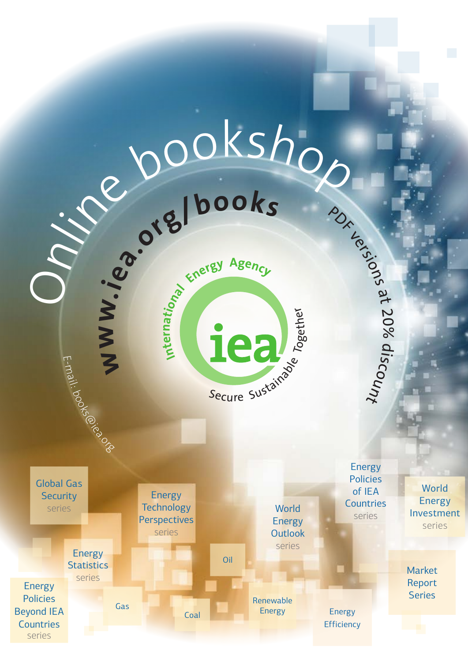